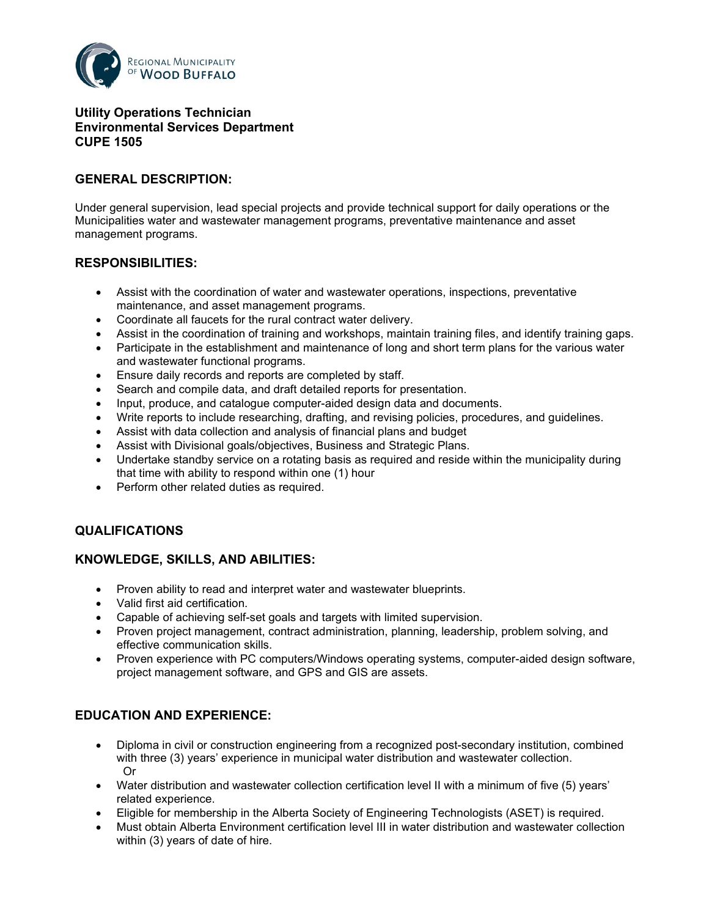

#### **Utility Operations Technician Environmental Services Department CUPE 1505**

# **GENERAL DESCRIPTION:**

Under general supervision, lead special projects and provide technical support for daily operations or the Municipalities water and wastewater management programs, preventative maintenance and asset management programs.

### **RESPONSIBILITIES:**

- Assist with the coordination of water and wastewater operations, inspections, preventative maintenance, and asset management programs.
- Coordinate all faucets for the rural contract water delivery.
- Assist in the coordination of training and workshops, maintain training files, and identify training gaps.
- Participate in the establishment and maintenance of long and short term plans for the various water and wastewater functional programs.
- Ensure daily records and reports are completed by staff.
- Search and compile data, and draft detailed reports for presentation.
- Input, produce, and catalogue computer-aided design data and documents.
- Write reports to include researching, drafting, and revising policies, procedures, and guidelines.
- Assist with data collection and analysis of financial plans and budget
- Assist with Divisional goals/objectives, Business and Strategic Plans.
- Undertake standby service on a rotating basis as required and reside within the municipality during that time with ability to respond within one (1) hour
- Perform other related duties as required.

#### **QUALIFICATIONS**

#### **KNOWLEDGE, SKILLS, AND ABILITIES:**

- Proven ability to read and interpret water and wastewater blueprints.
- Valid first aid certification.
- Capable of achieving self-set goals and targets with limited supervision.
- Proven project management, contract administration, planning, leadership, problem solving, and effective communication skills.
- Proven experience with PC computers/Windows operating systems, computer-aided design software, project management software, and GPS and GIS are assets.

# **EDUCATION AND EXPERIENCE:**

- Diploma in civil or construction engineering from a recognized post-secondary institution, combined with three (3) years' experience in municipal water distribution and wastewater collection. Or
- Water distribution and wastewater collection certification level II with a minimum of five (5) years' related experience.
- Eligible for membership in the Alberta Society of Engineering Technologists (ASET) is required.
- Must obtain Alberta Environment certification level III in water distribution and wastewater collection within (3) years of date of hire.